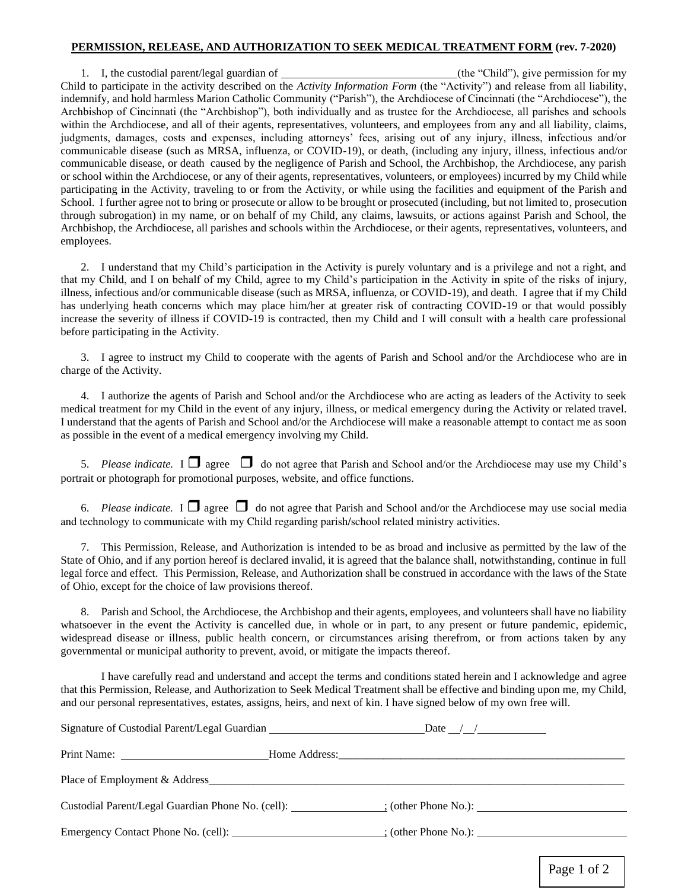## **PERMISSION, RELEASE, AND AUTHORIZATION TO SEEK MEDICAL TREATMENT FORM (rev. 7-2020)**

1. I, the custodial parent/legal guardian of (the "Child"), give permission for my Child to participate in the activity described on the *Activity Information Form* (the "Activity") and release from all liability, indemnify, and hold harmless Marion Catholic Community ("Parish"), the Archdiocese of Cincinnati (the "Archdiocese"), the Archbishop of Cincinnati (the "Archbishop"), both individually and as trustee for the Archdiocese, all parishes and schools within the Archdiocese, and all of their agents, representatives, volunteers, and employees from any and all liability, claims, judgments, damages, costs and expenses, including attorneys' fees, arising out of any injury, illness, infectious and/or communicable disease (such as MRSA, influenza, or COVID-19), or death, (including any injury, illness, infectious and/or communicable disease, or death caused by the negligence of Parish and School, the Archbishop, the Archdiocese, any parish or school within the Archdiocese, or any of their agents, representatives, volunteers, or employees) incurred by my Child while participating in the Activity, traveling to or from the Activity, or while using the facilities and equipment of the Parish and School. I further agree not to bring or prosecute or allow to be brought or prosecuted (including, but not limited to, prosecution through subrogation) in my name, or on behalf of my Child, any claims, lawsuits, or actions against Parish and School, the Archbishop, the Archdiocese, all parishes and schools within the Archdiocese, or their agents, representatives, volunteers, and employees.

2. I understand that my Child's participation in the Activity is purely voluntary and is a privilege and not a right, and that my Child, and I on behalf of my Child, agree to my Child's participation in the Activity in spite of the risks of injury, illness, infectious and/or communicable disease (such as MRSA, influenza, or COVID-19), and death. I agree that if my Child has underlying heath concerns which may place him/her at greater risk of contracting COVID-19 or that would possibly increase the severity of illness if COVID-19 is contracted, then my Child and I will consult with a health care professional before participating in the Activity.

3. I agree to instruct my Child to cooperate with the agents of Parish and School and/or the Archdiocese who are in charge of the Activity.

4. I authorize the agents of Parish and School and/or the Archdiocese who are acting as leaders of the Activity to seek medical treatment for my Child in the event of any injury, illness, or medical emergency during the Activity or related travel. I understand that the agents of Parish and School and/or the Archdiocese will make a reasonable attempt to contact me as soon as possible in the event of a medical emergency involving my Child.

5. *Please indicate.* I  $\Box$  agree  $\Box$  do not agree that Parish and School and/or the Archdiocese may use my Child's portrait or photograph for promotional purposes, website, and office functions.

6. *Please indicate.* I  $\Box$  agree  $\Box$  do not agree that Parish and School and/or the Archdiocese may use social media and technology to communicate with my Child regarding parish/school related ministry activities.

7. This Permission, Release, and Authorization is intended to be as broad and inclusive as permitted by the law of the State of Ohio, and if any portion hereof is declared invalid, it is agreed that the balance shall, notwithstanding, continue in full legal force and effect. This Permission, Release, and Authorization shall be construed in accordance with the laws of the State of Ohio, except for the choice of law provisions thereof.

8. Parish and School, the Archdiocese, the Archbishop and their agents, employees, and volunteers shall have no liability whatsoever in the event the Activity is cancelled due, in whole or in part, to any present or future pandemic, epidemic, widespread disease or illness, public health concern, or circumstances arising therefrom, or from actions taken by any governmental or municipal authority to prevent, avoid, or mitigate the impacts thereof.

I have carefully read and understand and accept the terms and conditions stated herein and I acknowledge and agree that this Permission, Release, and Authorization to Seek Medical Treatment shall be effective and binding upon me, my Child, and our personal representatives, estates, assigns, heirs, and next of kin. I have signed below of my own free will.

| Signature of Custodial Parent/Legal Guardian | Date $\frac{1}{\sqrt{2}}$                                            |
|----------------------------------------------|----------------------------------------------------------------------|
|                                              |                                                                      |
| Place of Employment & Address                |                                                                      |
|                                              | Custodial Parent/Legal Guardian Phone No. (cell): (other Phone No.): |
|                                              |                                                                      |